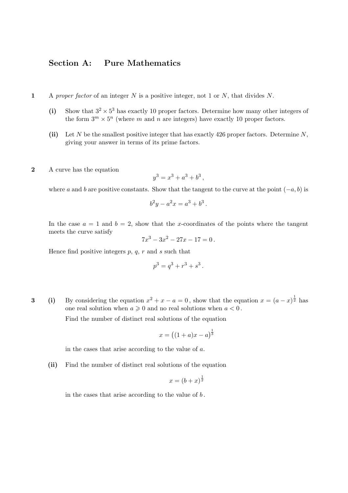## Section A: Pure Mathematics

- 1 A proper factor of an integer N is a positive integer, not 1 or N, that divides N.
	- (i) Show that  $3^2 \times 5^3$  has exactly 10 proper factors. Determine how many other integers of the form  $3^m \times 5^n$  (where m and n are integers) have exactly 10 proper factors.
	- (ii) Let N be the smallest positive integer that has exactly 426 proper factors. Determine  $N$ , giving your answer in terms of its prime factors.
- 2 A curve has the equation

$$
y^3 = x^3 + a^3 + b^3,
$$

where a and b are positive constants. Show that the tangent to the curve at the point  $(-a, b)$  is

$$
b^2y - a^2x = a^3 + b^3.
$$

In the case  $a = 1$  and  $b = 2$ , show that the x-coordinates of the points where the tangent meets the curve satisfy

$$
7x^3 - 3x^2 - 27x - 17 = 0.
$$

Hence find positive integers  $p, q, r$  and  $s$  such that

$$
p^3 = q^3 + r^3 + s^3.
$$

**3** (i) By considering the equation  $x^2 + x - a = 0$ , show that the equation  $x = (a - x)^{\frac{1}{2}}$  has one real solution when  $a \geq 0$  and no real solutions when  $a < 0$ .

Find the number of distinct real solutions of the equation

$$
x = \left( (1+a)x - a \right)^{\frac{1}{3}}
$$

in the cases that arise according to the value of a.

(ii) Find the number of distinct real solutions of the equation

$$
x = (b + x)^{\frac{1}{2}}
$$

in the cases that arise according to the value of  $b$ .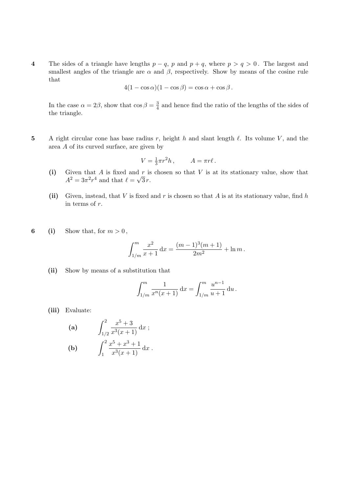4 The sides of a triangle have lengths  $p - q$ , p and  $p + q$ , where  $p > q > 0$ . The largest and smallest angles of the triangle are  $\alpha$  and  $\beta$ , respectively. Show by means of the cosine rule that

$$
4(1 - \cos \alpha)(1 - \cos \beta) = \cos \alpha + \cos \beta.
$$

In the case  $\alpha = 2\beta$ , show that  $\cos \beta = \frac{3}{4}$  $\frac{3}{4}$  and hence find the ratio of the lengths of the sides of the triangle.

5 A right circular cone has base radius r, height h and slant length  $\ell$ . Its volume V, and the area A of its curved surface, are given by

$$
V = \frac{1}{3}\pi r^2 h, \qquad A = \pi r \ell.
$$

- (i) Given that A is fixed and r is chosen so that V is at its stationary value, show that  $A^2 = 3\pi^2 r^4$  and that  $\ell = \sqrt{3} r$ .
- (ii) Given, instead, that V is fixed and r is chosen so that A is at its stationary value, find h in terms of r.
- 6 (i) Show that, for  $m > 0$ ,

$$
\int_{1/m}^{m} \frac{x^2}{x+1} dx = \frac{(m-1)^3(m+1)}{2m^2} + \ln m.
$$

(ii) Show by means of a substitution that

$$
\int_{1/m}^{m} \frac{1}{x^n(x+1)} dx = \int_{1/m}^{m} \frac{u^{n-1}}{u+1} du.
$$

(iii) Evaluate:

(a) 
$$
\int_{1/2}^{2} \frac{x^5 + 3}{x^3(x+1)} dx ;
$$
  
(b) 
$$
\int_{1}^{2} \frac{x^5 + x^3 + 1}{x^3(x+1)} dx.
$$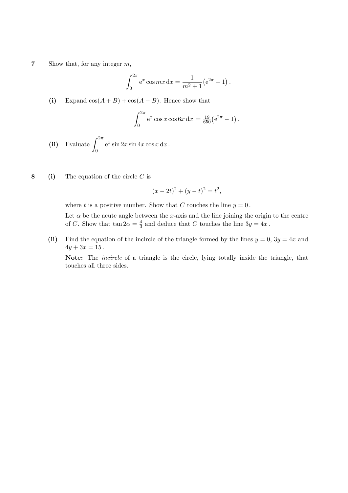7 Show that, for any integer  $m$ ,

$$
\int_0^{2\pi} e^x \cos mx \, dx = \frac{1}{m^2 + 1} (e^{2\pi} - 1).
$$

(i) Expand  $cos(A + B) + cos(A - B)$ . Hence show that

$$
\int_0^{2\pi} e^x \cos x \cos 6x \, dx = \frac{19}{650} (e^{2\pi} - 1).
$$

- (ii) Evaluate  $\int_{0}^{2\pi}$ 0  $e^x \sin 2x \sin 4x \cos x \, dx$ .
- 8 (i) The equation of the circle  $C$  is

$$
(x - 2t)^2 + (y - t)^2 = t^2,
$$

where t is a positive number. Show that C touches the line  $y = 0$ .

Let  $\alpha$  be the acute angle between the x-axis and the line joining the origin to the centre of C. Show that  $\tan 2\alpha = \frac{4}{3}$  $\frac{4}{3}$  and deduce that C touches the line  $3y = 4x$ .

(ii) Find the equation of the incircle of the triangle formed by the lines  $y = 0$ ,  $3y = 4x$  and  $4y + 3x = 15$ .

Note: The incircle of a triangle is the circle, lying totally inside the triangle, that touches all three sides.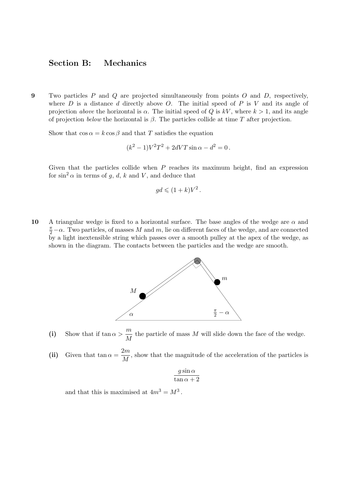## Section B: Mechanics

9 Two particles  $P$  and  $Q$  are projected simultaneously from points  $O$  and  $D$ , respectively, where  $D$  is a distance  $d$  directly above  $O$ . The initial speed of  $P$  is  $V$  and its angle of projection above the horizontal is  $\alpha$ . The initial speed of Q is kV, where  $k > 1$ , and its angle of projection below the horizontal is  $\beta$ . The particles collide at time T after projection.

Show that  $\cos \alpha = k \cos \beta$  and that T satisfies the equation

$$
(k^2 - 1)V^2T^2 + 2dVT\sin\alpha - d^2 = 0.
$$

Given that the particles collide when  $P$  reaches its maximum height, find an expression for  $\sin^2 \alpha$  in terms of g, d, k and V, and deduce that

$$
gd \leqslant (1+k)V^2.
$$

10 A triangular wedge is fixed to a horizontal surface. The base angles of the wedge are  $\alpha$  and  $\frac{\pi}{2} - \alpha$ . Two particles, of masses M and m, lie on different faces of the wedge, and are connected by a light inextensible string which passes over a smooth pulley at the apex of the wedge, as shown in the diagram. The contacts between the particles and the wedge are smooth.



(i) Show that if  $\tan \alpha > \frac{m}{M}$  $\frac{m}{M}$  the particle of mass M will slide down the face of the wedge.

(ii) Given that  $\tan \alpha = \frac{2m}{M}$  $\frac{dm}{M}$ , show that the magnitude of the acceleration of the particles is

$$
\frac{g\sin\alpha}{\tan\alpha+2}
$$

and that this is maximised at  $4m^3 = M^3$ .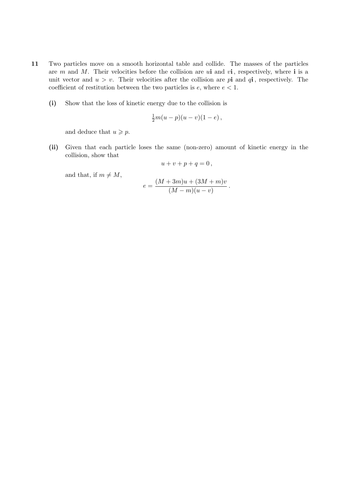- 11 Two particles move on a smooth horizontal table and collide. The masses of the particles are  $m$  and  $M$ . Their velocities before the collision are  $u$ **i** and  $v$ **i**, respectively, where **i** is a unit vector and  $u > v$ . Their velocities after the collision are pi and qi, respectively. The coefficient of restitution between the two particles is  $e$ , where  $e < 1$ .
	- (i) Show that the loss of kinetic energy due to the collision is

$$
\frac{1}{2}m(u-p)(u-v)(1-e)\,
$$

and deduce that  $u \geq p$ .

(ii) Given that each particle loses the same (non-zero) amount of kinetic energy in the collision, show that

$$
u+v+p+q=0\,,
$$

and that, if  $m \neq M$ ,

$$
e = \frac{(M+3m)u + (3M+m)v}{(M-m)(u-v)}
$$

.